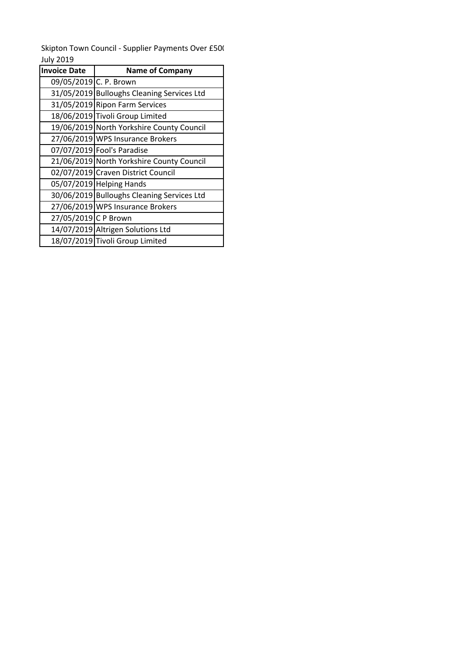July 2019 Skipton Town Council - Supplier Payments Over £500

| <b>Invoice Date</b>    | <b>Name of Company</b>                     |  |
|------------------------|--------------------------------------------|--|
| 09/05/2019 C. P. Brown |                                            |  |
|                        | 31/05/2019 Bulloughs Cleaning Services Ltd |  |
|                        | 31/05/2019 Ripon Farm Services             |  |
|                        | 18/06/2019 Tivoli Group Limited            |  |
|                        | 19/06/2019 North Yorkshire County Council  |  |
|                        | 27/06/2019 WPS Insurance Brokers           |  |
|                        | 07/07/2019 Fool's Paradise                 |  |
|                        | 21/06/2019 North Yorkshire County Council  |  |
|                        | 02/07/2019 Craven District Council         |  |
|                        | 05/07/2019 Helping Hands                   |  |
|                        | 30/06/2019 Bulloughs Cleaning Services Ltd |  |
|                        | 27/06/2019 WPS Insurance Brokers           |  |
| 27/05/2019 C P Brown   |                                            |  |
|                        | 14/07/2019 Altrigen Solutions Ltd          |  |
|                        | 18/07/2019 Tivoli Group Limited            |  |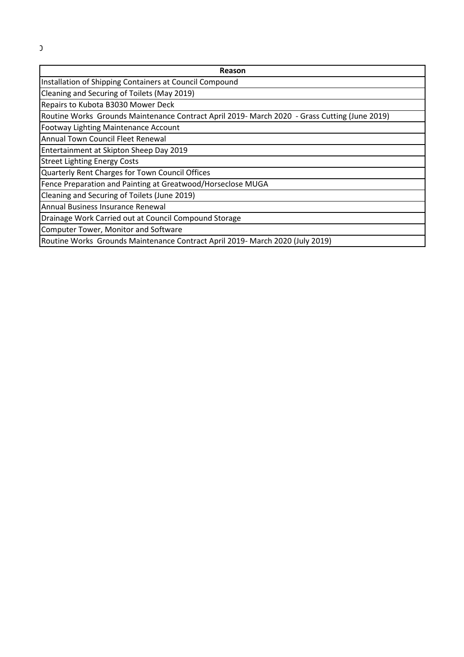| Reason                                                                                        |  |  |
|-----------------------------------------------------------------------------------------------|--|--|
| Installation of Shipping Containers at Council Compound                                       |  |  |
| Cleaning and Securing of Toilets (May 2019)                                                   |  |  |
| Repairs to Kubota B3030 Mower Deck                                                            |  |  |
| Routine Works Grounds Maintenance Contract April 2019- March 2020 - Grass Cutting (June 2019) |  |  |
| Footway Lighting Maintenance Account                                                          |  |  |
| Annual Town Council Fleet Renewal                                                             |  |  |
| Entertainment at Skipton Sheep Day 2019                                                       |  |  |
| <b>Street Lighting Energy Costs</b>                                                           |  |  |
| Quarterly Rent Charges for Town Council Offices                                               |  |  |
| Fence Preparation and Painting at Greatwood/Horseclose MUGA                                   |  |  |
| Cleaning and Securing of Toilets (June 2019)                                                  |  |  |
| Annual Business Insurance Renewal                                                             |  |  |
| Drainage Work Carried out at Council Compound Storage                                         |  |  |
| Computer Tower, Monitor and Software                                                          |  |  |
| Routine Works Grounds Maintenance Contract April 2019- March 2020 (July 2019)                 |  |  |